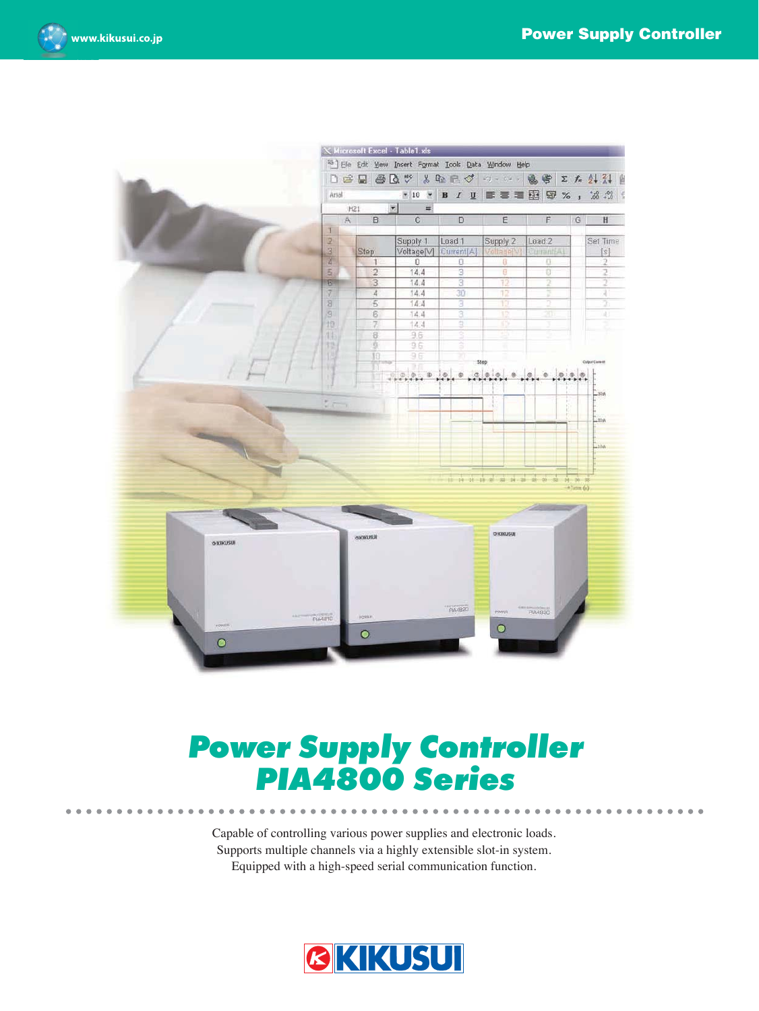



# **Power Supply Controller<br>PIA4800 Series PIA4800 Series Construction Series Construction**

Capable of controlling various power supplies and electronic loads. Supports multiple channels via a highly extensible slot-in system. Equipped with a high-speed serial communication function.

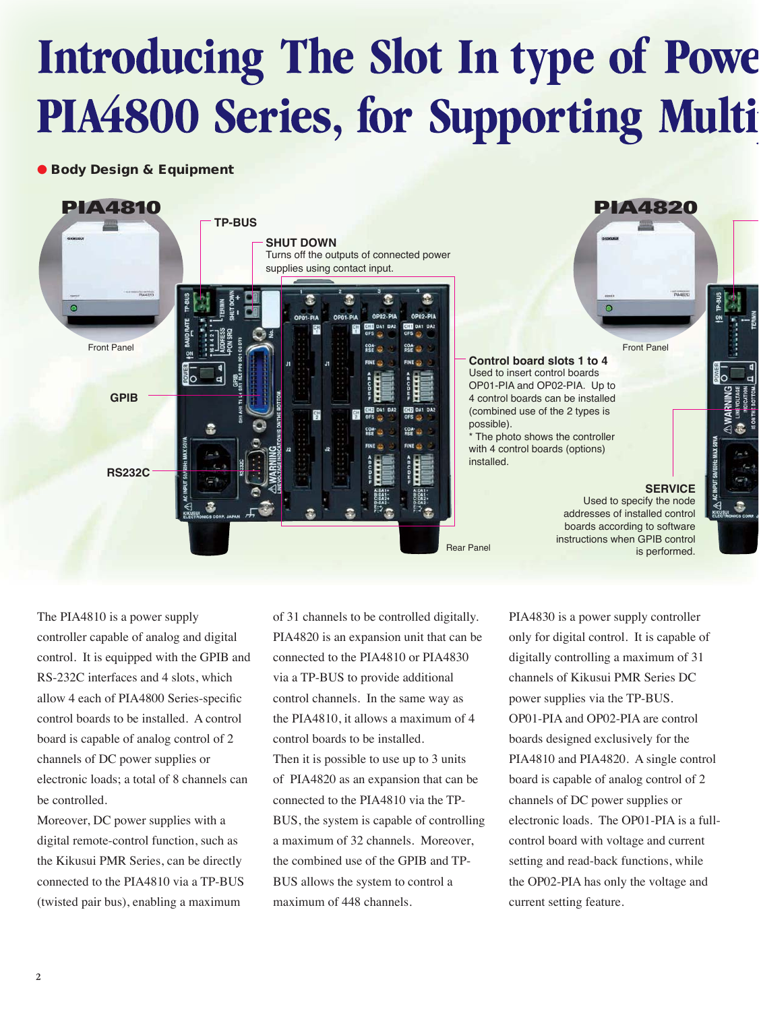# Introducing The Slot In type of Powe PIA4800 Series, for Supporting Multi

#### ● Body Design & Equipment



The PIA4810 is a power supply controller capable of analog and digital control. It is equipped with the GPIB and RS-232C interfaces and 4 slots, which allow 4 each of PIA4800 Series-specific control boards to be installed. A control board is capable of analog control of 2 channels of DC power supplies or electronic loads; a total of 8 channels can be controlled.

Moreover, DC power supplies with a digital remote-control function, such as the Kikusui PMR Series, can be directly connected to the PIA4810 via a TP-BUS (twisted pair bus), enabling a maximum

of 31 channels to be controlled digitally. PIA4820 is an expansion unit that can be connected to the PIA4810 or PIA4830 via a TP-BUS to provide additional control channels. In the same way as the PIA4810, it allows a maximum of 4 control boards to be installed. Then it is possible to use up to 3 units of PIA4820 as an expansion that can be connected to the PIA4810 via the TP-BUS, the system is capable of controlling a maximum of 32 channels. Moreover, the combined use of the GPIB and TP-BUS allows the system to control a maximum of 448 channels.

PIA4830 is a power supply controller only for digital control. It is capable of digitally controlling a maximum of 31 channels of Kikusui PMR Series DC power supplies via the TP-BUS. OP01-PIA and OP02-PIA are control boards designed exclusively for the PIA4810 and PIA4820. A single control board is capable of analog control of 2 channels of DC power supplies or electronic loads. The OP01-PIA is a fullcontrol board with voltage and current setting and read-back functions, while the OP02-PIA has only the voltage and current setting feature.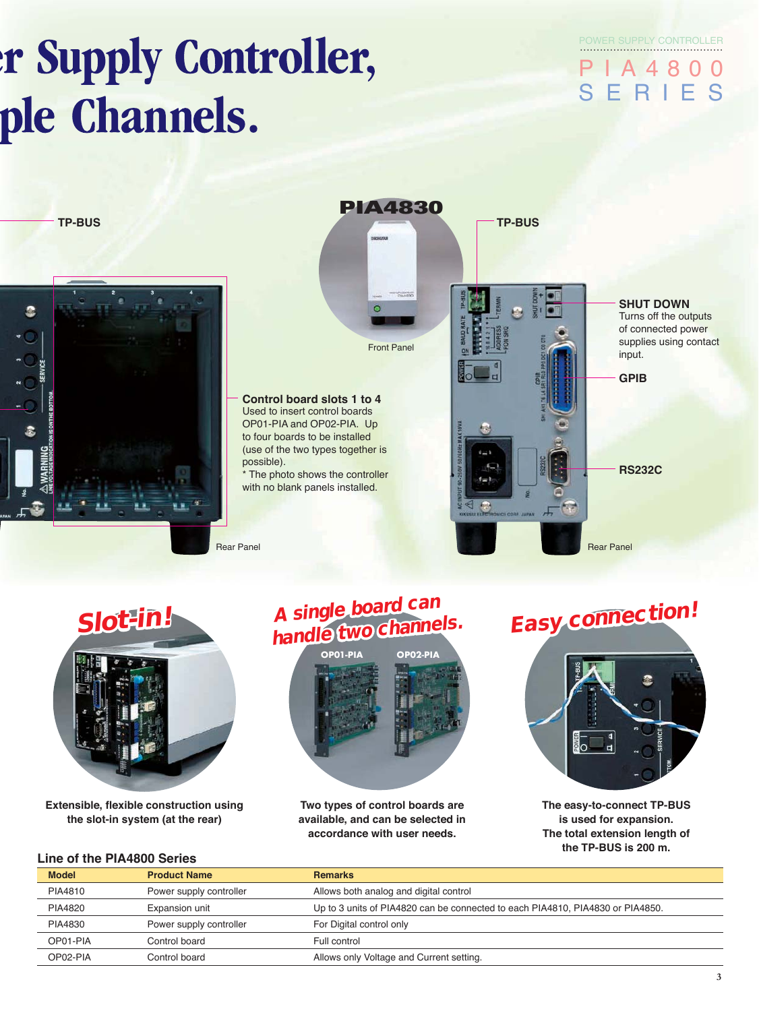# **r Supply Controller,** ple Channels.

POWER SUPPLY CONTROLLER

PIA4800 SERIES

**TP-BUS** 







**Extensible, flexible construction using the slot-in system (at the rear)**



Two types of control boards are available, and can be selected in accordance with user needs.



The easy-to-connect TP-BUS is used for expansion. The total extension length of the TP-BUS is 200 m.

#### **Line of the PIA4800 Series**

| <b>Model</b> | <b>Product Name</b>     | <b>Remarks</b>                                                                 |
|--------------|-------------------------|--------------------------------------------------------------------------------|
| PIA4810      | Power supply controller | Allows both analog and digital control                                         |
| PIA4820      | Expansion unit          | Up to 3 units of PIA4820 can be connected to each PIA4810, PIA4830 or PIA4850. |
| PIA4830      | Power supply controller | For Digital control only                                                       |
| OP01-PIA     | Control board           | Full control                                                                   |
| OP02-PIA     | Control board           | Allows only Voltage and Current setting.                                       |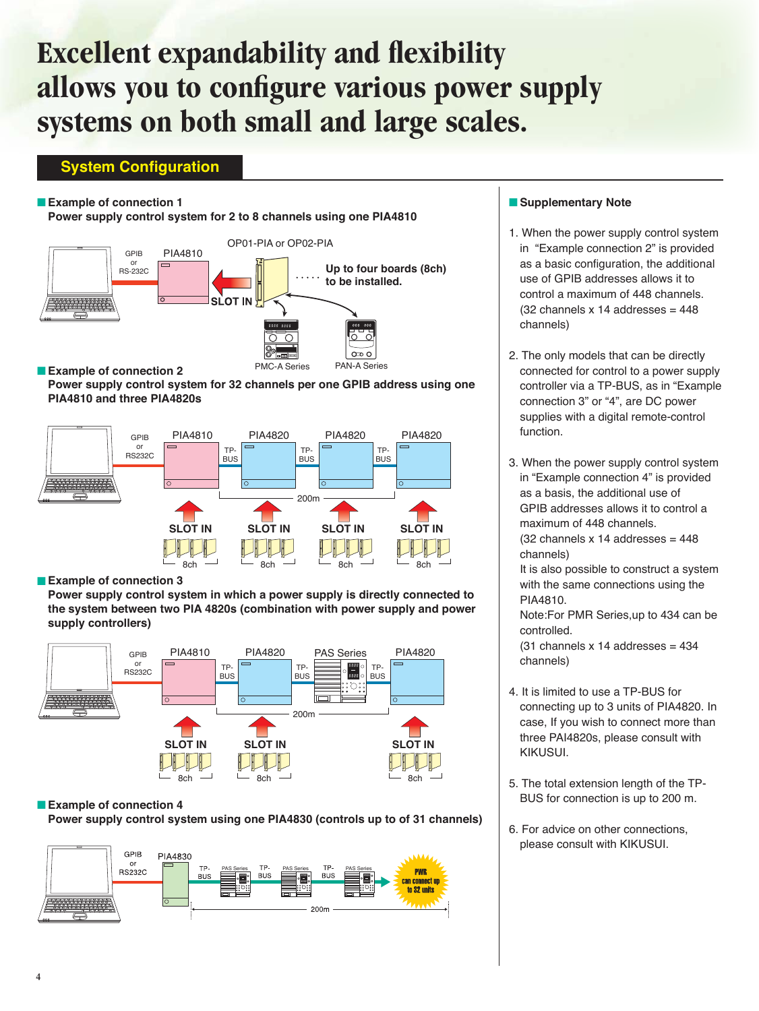# **Excellent expandability and flexibility allows you to configure various power supply systems on both small and large scales.**

#### **System Configuration**

#### **Example of connection 1**

Power supply control system for 2 to 8 channels using one PIA4810



Power supply control system for 32 channels per one GPIB address using one **PIA4810 and three PIA4820s**



**Example of connection 3** 

Power supply control system in which a power supply is directly connected to the system between two PIA 4820s (combination with power supply and power supply controllers)



#### **Example of connection 4**

Power supply control system using one PIA4830 (controls up to of 31 channels)



#### **B** Supplementary Note

- 1. When the power supply control system in "Example connection 2" is provided as a basic configuration, the additional use of GPIB addresses allows it to control a maximum of 448 channels.  $(32 \text{ channels} \times 14 \text{ addresses} = 448)$ channels)
- 2. The only models that can be directly connected for control to a power supply controller via a TP-BUS, as in "Example connection 3" or "4", are DC power supplies with a digital remote-control function.
- 3. When the power supply control system in "Example connection 4" is provided as a basis, the additional use of GPIB addresses allows it to control a maximum of 448 channels.  $(32 \text{ channels} \times 14 \text{ addresses} = 448)$ channels)

 It is also possible to construct a system with the same connections using the PIA4810.

 Note:For PMR Series,up to 434 can be controlled.

 $(31$  channels x 14 addresses =  $434$ channels)

- 4. It is limited to use a TP-BUS for connecting up to 3 units of PIA4820. In case, If you wish to connect more than three PAI4820s, please consult with KIKUSUI.
- 5. The total extension length of the TP-BUS for connection is up to 200 m.
- 6. For advice on other connections, please consult with KIKUSUI.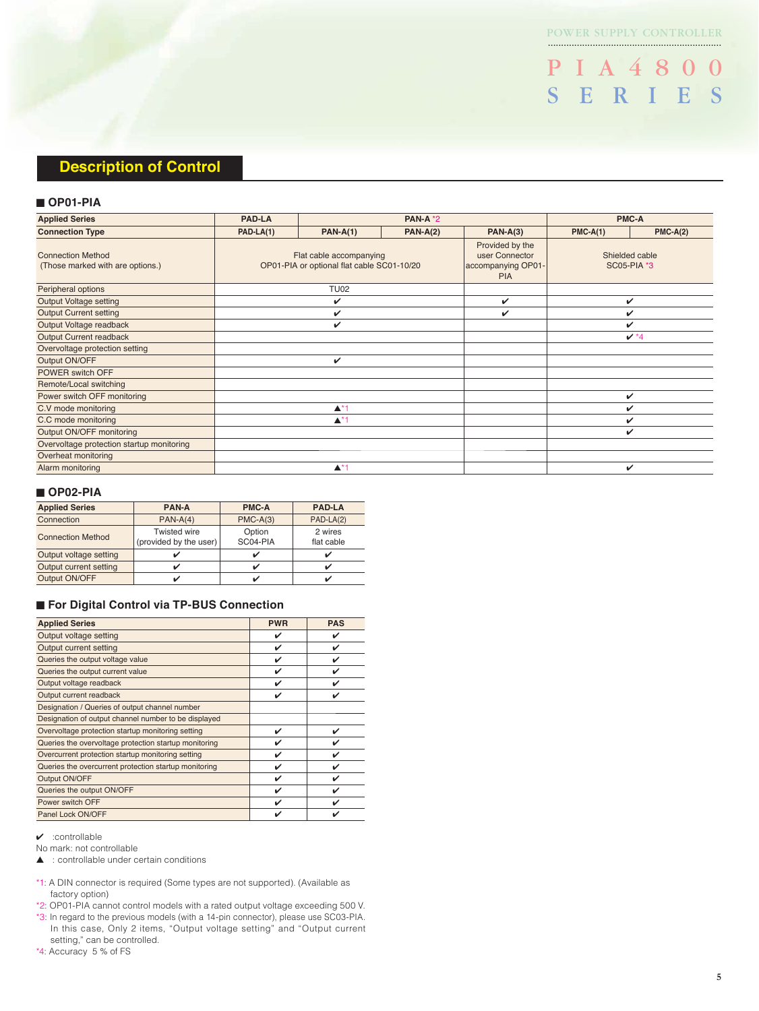..................................................................

PIA 4800 SERIES

#### **Description of Control**

#### ■ **OP01-PIA**

| <b>Applied Series</b>                                        | <b>PAD-LA</b><br><b>PAN-A *2</b>                                      |             | <b>PMC-A</b>                                                          |                                      |            |            |
|--------------------------------------------------------------|-----------------------------------------------------------------------|-------------|-----------------------------------------------------------------------|--------------------------------------|------------|------------|
| <b>Connection Type</b>                                       | $PAD-LA(1)$                                                           | $PAN-A(1)$  | $PAN-A(2)$                                                            | $PAN-A(3)$                           | $PMC-A(1)$ | $PMC-A(2)$ |
| <b>Connection Method</b><br>(Those marked with are options.) | Flat cable accompanying<br>OP01-PIA or optional flat cable SC01-10/20 |             | Provided by the<br>user Connector<br>accompanying OP01-<br><b>PIA</b> | Shielded cable<br><b>SC05-PIA *3</b> |            |            |
| Peripheral options                                           |                                                                       | <b>TU02</b> |                                                                       |                                      |            |            |
| <b>Output Voltage setting</b>                                |                                                                       | ✓           |                                                                       | $\checkmark$                         |            | ✓          |
| <b>Output Current setting</b>                                |                                                                       | V           |                                                                       | ✓                                    | ✓          |            |
| Output Voltage readback                                      |                                                                       | v           |                                                                       |                                      | v          |            |
| Output Current readback                                      |                                                                       |             |                                                                       |                                      | $V*4$      |            |
| Overvoltage protection setting                               |                                                                       |             |                                                                       |                                      |            |            |
| Output ON/OFF                                                | v                                                                     |             |                                                                       |                                      |            |            |
| POWER switch OFF                                             |                                                                       |             |                                                                       |                                      |            |            |
| Remote/Local switching                                       |                                                                       |             |                                                                       |                                      |            |            |
| Power switch OFF monitoring                                  |                                                                       |             |                                                                       |                                      |            | v          |
| C.V mode monitoring                                          | $\blacktriangle$ *1                                                   |             |                                                                       |                                      | ✓          |            |
| C.C mode monitoring                                          | $\blacktriangle^*1$                                                   |             |                                                                       |                                      | ✓          |            |
| Output ON/OFF monitoring                                     |                                                                       |             |                                                                       |                                      |            | ✓          |
| Overvoltage protection startup monitoring                    |                                                                       |             |                                                                       |                                      |            |            |
| Overheat monitoring                                          |                                                                       |             |                                                                       |                                      |            |            |
| Alarm monitoring                                             | $\blacktriangle$ *1                                                   |             |                                                                       |                                      | V          |            |

#### ■ **OP02-PIA**

| <b>Applied Series</b>    | <b>PAN-A</b>                                  | <b>PMC-A</b>       | <b>PAD-LA</b>         |
|--------------------------|-----------------------------------------------|--------------------|-----------------------|
| Connection               | $PAN-A(4)$                                    | $PMC-A(3)$         | PAD-LA(2)             |
| <b>Connection Method</b> | <b>Twisted wire</b><br>(provided by the user) | Option<br>SC04-PIA | 2 wires<br>flat cable |
| Output voltage setting   |                                               |                    | v                     |
| Output current setting   |                                               |                    | v                     |
| Output ON/OFF            |                                               |                    |                       |

#### ■ For Digital Control via TP-BUS Connection

| <b>Applied Series</b>                                 | <b>PWR</b> | <b>PAS</b> |
|-------------------------------------------------------|------------|------------|
| Output voltage setting                                | ✓          | ✓          |
| Output current setting                                | V          | V          |
| Queries the output voltage value                      | ✓          | V          |
| Queries the output current value                      | V          | ✓          |
| Output voltage readback                               | ✓          | ✓          |
| Output current readback                               | ✓          | ✓          |
| Designation / Queries of output channel number        |            |            |
| Designation of output channel number to be displayed  |            |            |
| Overvoltage protection startup monitoring setting     | ✓          | V          |
| Queries the overvoltage protection startup monitoring | ✓          | ✓          |
| Overcurrent protection startup monitoring setting     | ✓          | V          |
| Queries the overcurrent protection startup monitoring | ✓          | V          |
| Output ON/OFF                                         | ✓          | ✓          |
| Queries the output ON/OFF                             | ✓          | V          |
| Power switch OFF                                      | ✓          | ✓          |
| Panel Lock ON/OFF                                     |            | ✓          |

 $\checkmark$  :controllable

No mark: not controllable

▲ : controllable under certain conditions

- \*1: A DIN connector is required (Some types are not supported). (Available as factory option)
- \*2: OP01-PIA cannot control models with a rated output voltage exceeding 500 V. \*3: In regard to the previous models (with a 14-pin connector), please use SC03-PIA. In this case, Only 2 items, "Output voltage setting" and "Output current setting," can be controlled.
- \*4: Accuracy 5 % of FS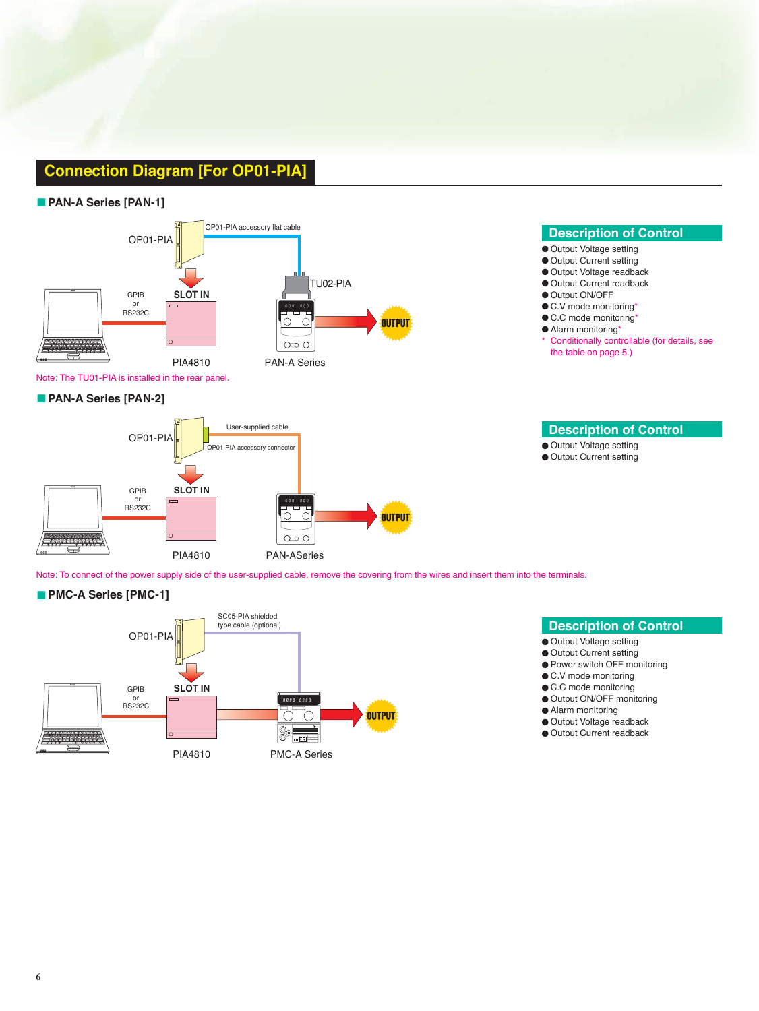### **Connection Diagram [For OP01-PIA]**

#### $\blacksquare$  **PAN-A Series [PAN-1]**



Note: The TU01-PIA is installed in the rear panel.

#### $\blacksquare$  **PAN-A Series [PAN-2]**



#### **Description of Control**

- Output Voltage setting
- Output Current setting
- Output Voltage readback
- Output Current readback
- Output ON/OFF
- C.V mode monitoring\*
- C.C mode monitoring\*
- Alarm monitoring\*
- Conditionally controllable (for details, see the table on page 5.)

#### **Description of Control**

● Output Voltage setting

● Output Current setting

Note: To connect of the power supply side of the user-supplied cable, remove the covering from the wires and insert them into the terminals.

#### $\blacksquare$  **PMC-A Series [PMC-1]**



- **Description of Control**
- Output Voltage setting
- Output Current setting
- Power switch OFF monitoring
- C.V mode monitoring
- C.C mode monitoring
- Output ON/OFF monitoring
- Alarm monitoring
- Output Voltage readback
- Output Current readback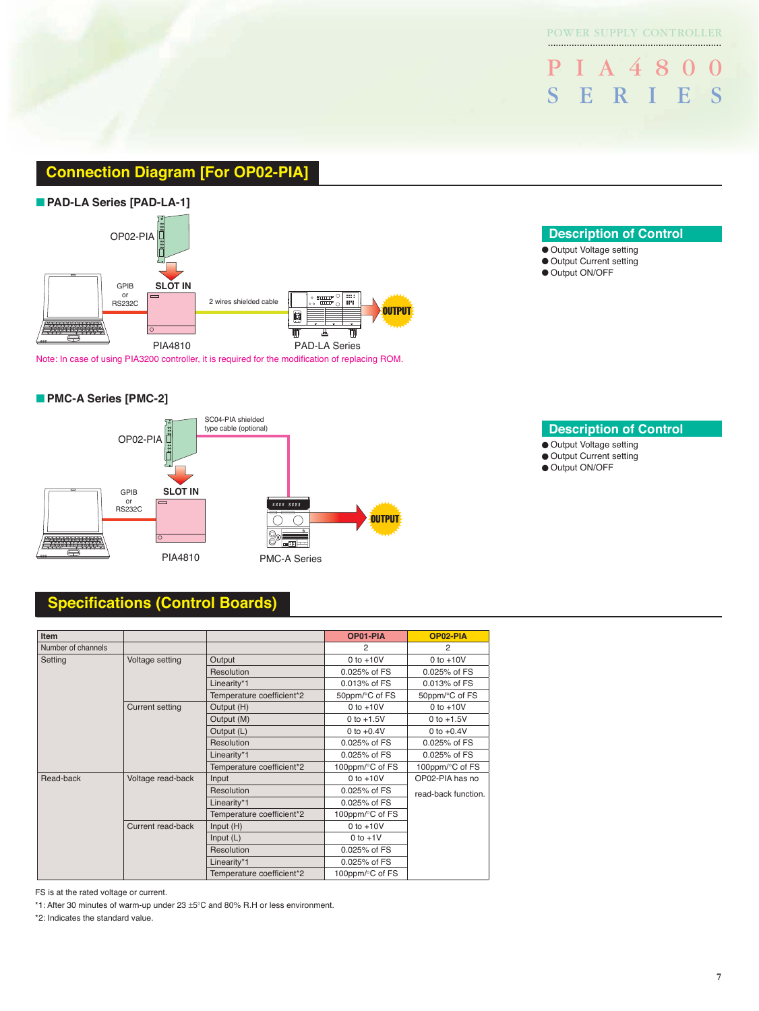PIA4800 SERIES

#### **Connection Diagram [For OP02-PIA]**



Note: In case of using PIA3200 controller, it is required for the modification of replacing ROM.

#### **• PMC-A Series [PMC-2]**



#### **Specifications (Control Boards)**

| <b>Item</b>        |                        |                           | OP01-PIA         | OP02-PIA            |
|--------------------|------------------------|---------------------------|------------------|---------------------|
| Number of channels |                        |                           | 2                | $\overline{2}$      |
| Setting            | Voltage setting        | Output                    | $0$ to $+10V$    | $0$ to $+10V$       |
|                    |                        | Resolution                | 0.025% of FS     | 0.025% of FS        |
|                    |                        | Linearity*1               | $0.013%$ of $FS$ | 0.013% of FS        |
|                    |                        | Temperature coefficient*2 | 50ppm/°C of FS   | 50ppm/°C of FS      |
|                    | <b>Current setting</b> | Output (H)                | $0$ to $+10V$    | $0$ to $+10V$       |
|                    |                        | Output (M)                | 0 to $+1.5V$     | 0 to $+1.5V$        |
|                    |                        | Output (L)                | 0 to $+0.4V$     | 0 to $+0.4V$        |
|                    |                        | Resolution                | 0.025% of FS     | 0.025% of FS        |
|                    |                        | Linearity*1               | 0.025% of FS     | 0.025% of FS        |
|                    |                        | Temperature coefficient*2 | 100ppm/°C of FS  | 100ppm/°C of FS     |
| Read-back          | Voltage read-back      | Input                     | $0$ to $+10V$    | OP02-PIA has no     |
|                    |                        | Resolution                | 0.025% of FS     | read-back function. |
|                    |                        | Linearity*1               | 0.025% of FS     |                     |
|                    |                        | Temperature coefficient*2 | 100ppm/°C of FS  |                     |
|                    | Current read-back      | Input $(H)$               | $0$ to $+10V$    |                     |
|                    |                        | Input $(L)$               | $0$ to $+1V$     |                     |
|                    |                        | Resolution                | 0.025% of FS     |                     |
|                    |                        | Linearity*1               | 0.025% of FS     |                     |
|                    |                        | Temperature coefficient*2 | 100ppm/°C of FS  |                     |

FS is at the rated voltage or current.

\*1: After 30 minutes of warm-up under 23 ±5°C and 80% R.H or less environment.

\*2: Indicates the standard value.

#### ● Output Voltage setting

- Output Current setting
- Output ON/OFF

..................................................................

**Description of Control** 

● Output Voltage setting

- Output Current setting
- Output ON/OFF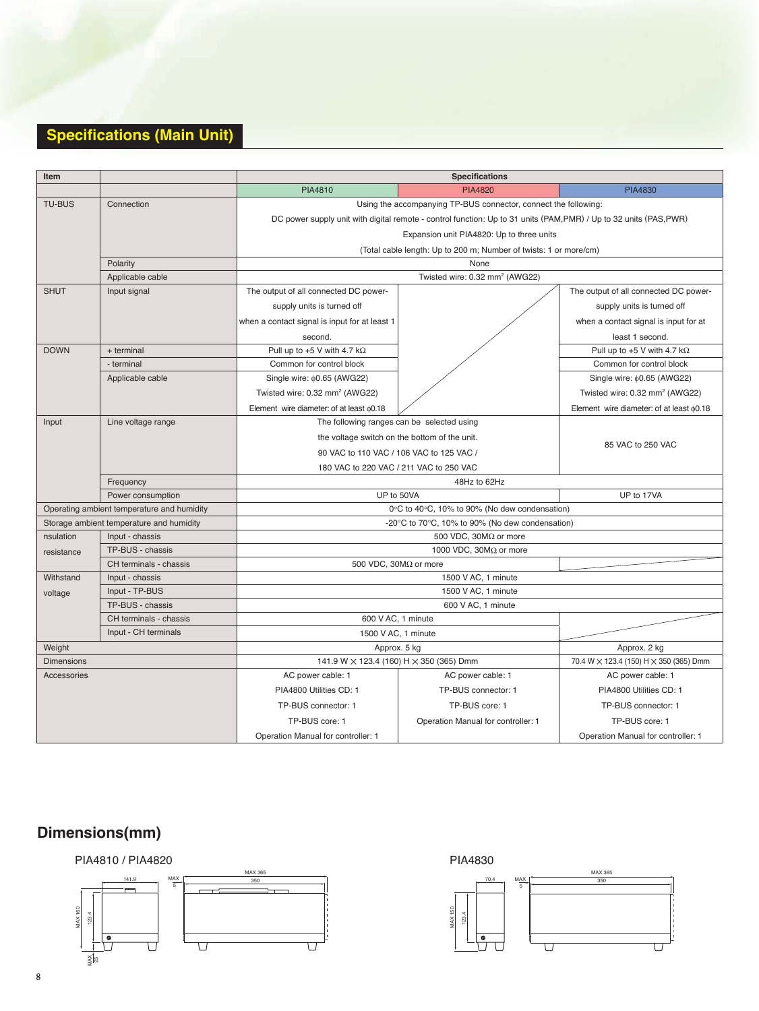### **Specifications (Main Unit)**

| <b>Item</b>                                    |                                            | <b>Specifications</b>                                                                                            |                                                                   |                                                        |  |  |
|------------------------------------------------|--------------------------------------------|------------------------------------------------------------------------------------------------------------------|-------------------------------------------------------------------|--------------------------------------------------------|--|--|
|                                                |                                            | PIA4810                                                                                                          | <b>PIA4820</b>                                                    | <b>PIA4830</b>                                         |  |  |
| <b>TU-BUS</b><br>Connection                    |                                            | Using the accompanying TP-BUS connector, connect the following:                                                  |                                                                   |                                                        |  |  |
|                                                |                                            | DC power supply unit with digital remote - control function: Up to 31 units (PAM,PMR) / Up to 32 units (PAS,PWR) |                                                                   |                                                        |  |  |
|                                                |                                            | Expansion unit PIA4820: Up to three units                                                                        |                                                                   |                                                        |  |  |
|                                                |                                            |                                                                                                                  | (Total cable length: Up to 200 m; Number of twists: 1 or more/cm) |                                                        |  |  |
|                                                | Polarity                                   |                                                                                                                  | None                                                              |                                                        |  |  |
|                                                | Applicable cable                           |                                                                                                                  | Twisted wire: 0.32 mm <sup>2</sup> (AWG22)                        |                                                        |  |  |
| <b>SHUT</b>                                    | Input signal                               | The output of all connected DC power-                                                                            |                                                                   | The output of all connected DC power-                  |  |  |
|                                                |                                            | supply units is turned off                                                                                       |                                                                   | supply units is turned off                             |  |  |
|                                                |                                            | when a contact signal is input for at least 1                                                                    |                                                                   | when a contact signal is input for at                  |  |  |
|                                                |                                            | second.                                                                                                          |                                                                   | least 1 second.                                        |  |  |
| <b>DOWN</b>                                    | + terminal                                 | Pull up to +5 V with 4.7 k $\Omega$                                                                              |                                                                   | Pull up to +5 V with 4.7 k $\Omega$                    |  |  |
|                                                | - terminal                                 | Common for control block                                                                                         |                                                                   | Common for control block                               |  |  |
|                                                | Applicable cable                           | Single wire: $\phi$ 0.65 (AWG22)                                                                                 |                                                                   | Single wire: $\phi$ 0.65 (AWG22)                       |  |  |
|                                                |                                            | Twisted wire: 0.32 mm <sup>2</sup> (AWG22)                                                                       |                                                                   | Twisted wire: 0.32 mm <sup>2</sup> (AWG22)             |  |  |
|                                                |                                            | Element wire diameter: of at least $60.18$                                                                       |                                                                   | Element wire diameter: of at least $\phi$ 0.18         |  |  |
| Line voltage range<br>Input                    |                                            | The following ranges can be selected using                                                                       |                                                                   |                                                        |  |  |
|                                                |                                            | the voltage switch on the bottom of the unit.                                                                    | 85 VAC to 250 VAC                                                 |                                                        |  |  |
|                                                |                                            | 90 VAC to 110 VAC / 106 VAC to 125 VAC /                                                                         |                                                                   |                                                        |  |  |
|                                                |                                            | 180 VAC to 220 VAC / 211 VAC to 250 VAC                                                                          |                                                                   |                                                        |  |  |
| Frequency                                      |                                            |                                                                                                                  |                                                                   |                                                        |  |  |
|                                                | Power consumption                          | UP to 50VA                                                                                                       | UP to 17VA                                                        |                                                        |  |  |
|                                                | Operating ambient temperature and humidity | 0°C to 40°C, 10% to 90% (No dew condensation)                                                                    |                                                                   |                                                        |  |  |
|                                                | Storage ambient temperature and humidity   | -20°C to 70°C, 10% to 90% (No dew condensation)                                                                  |                                                                   |                                                        |  |  |
| nsulation                                      | Input - chassis                            | 500 VDC, 30ΜΩ or more                                                                                            |                                                                   |                                                        |  |  |
| resistance                                     | TP-BUS - chassis                           |                                                                                                                  | 1000 VDC, $30M\Omega$ or more                                     |                                                        |  |  |
|                                                | CH terminals - chassis                     | 500 VDC, 30M $\Omega$ or more                                                                                    |                                                                   |                                                        |  |  |
| Withstand                                      | Input - chassis                            | 1500 V AC, 1 minute                                                                                              |                                                                   |                                                        |  |  |
| voltage                                        | Input - TP-BUS                             |                                                                                                                  | 1500 V AC, 1 minute                                               |                                                        |  |  |
|                                                | TP-BUS - chassis                           |                                                                                                                  | 600 V AC, 1 minute                                                |                                                        |  |  |
| CH terminals - chassis<br>Input - CH terminals |                                            |                                                                                                                  | 600 V AC, 1 minute                                                |                                                        |  |  |
|                                                |                                            | 1500 V AC, 1 minute                                                                                              |                                                                   |                                                        |  |  |
| Weight<br><b>Dimensions</b>                    |                                            | Approx. 5 kg<br>141.9 W × 123.4 (160) H × 350 (365) Dmm                                                          |                                                                   | Approx. 2 kg<br>70.4 W × 123.4 (150) H × 350 (365) Dmm |  |  |
| Accessories                                    |                                            | AC power cable: 1                                                                                                | AC power cable: 1                                                 | AC power cable: 1                                      |  |  |
|                                                |                                            | PIA4800 Utilities CD: 1                                                                                          | TP-BUS connector: 1                                               | PIA4800 Utilities CD: 1                                |  |  |
|                                                |                                            |                                                                                                                  |                                                                   |                                                        |  |  |
|                                                |                                            | TP-BUS connector: 1                                                                                              | TP-BUS core: 1                                                    | TP-BUS connector: 1                                    |  |  |
|                                                |                                            | TP-BUS core: 1                                                                                                   | Operation Manual for controller: 1                                | TP-BUS core: 1                                         |  |  |
|                                                |                                            | Operation Manual for controller: 1                                                                               |                                                                   | Operation Manual for controller: 1                     |  |  |

## **Dimensions(mm)**



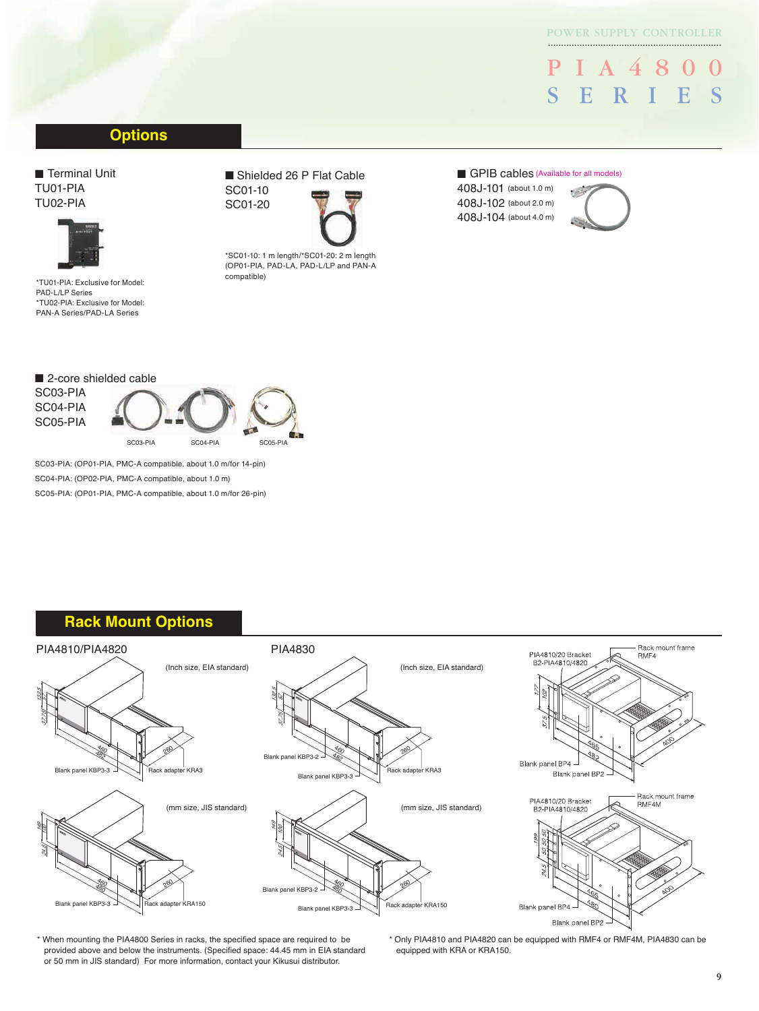#### POWER SUPPLY CONTROLLER ..................................................................

PIA4800 SERIES

#### **Options**

■ Terminal Unit TU01-PIA TU02-PIA



\*TU01-PIA: Exclusive for Model: PAD-L/LP Series \*TU02-PIA: Exclusive for Model: PAN-A Series/PAD-LA Series

#### ■ Shielded 26 P Flat Cable SC01-10

SC01-20



(OP01-PIA, PAD-LA, PAD-L/LP and PAN-A compatible)

#### ■ GPIB cables (Available for all models)

408J-101 (about 1.0 m) 408J-102 (about 2.0 m) 408J-104 (about 4.0 m)



■ 2-core shielded cable SC03-PIA SC04-PIA SC05-PIA SC03-PIA SC04-PIA SC05-PIA

SC03-PIA: (OP01-PIA, PMC-A compatible, about 1.0 m/for 14-pin) SC04-PIA: (OP02-PIA, PMC-A compatible, about 1.0 m) SC05-PIA: (OP01-PIA, PMC-A compatible, about 1.0 m/for 26-pin)

#### **Rack Mount Options**



\* When mounting the PIA4800 Series in racks, the specified space are required to be provided above and below the instruments. (Specified space: 44.45 mm in EIA standard or 50 mm in JIS standard) For more information, contact your Kikusui distributor.

\* Only PIA4810 and PIA4820 can be equipped with RMF4 or RMF4M, PIA4830 can be equipped with KRA or KRA150.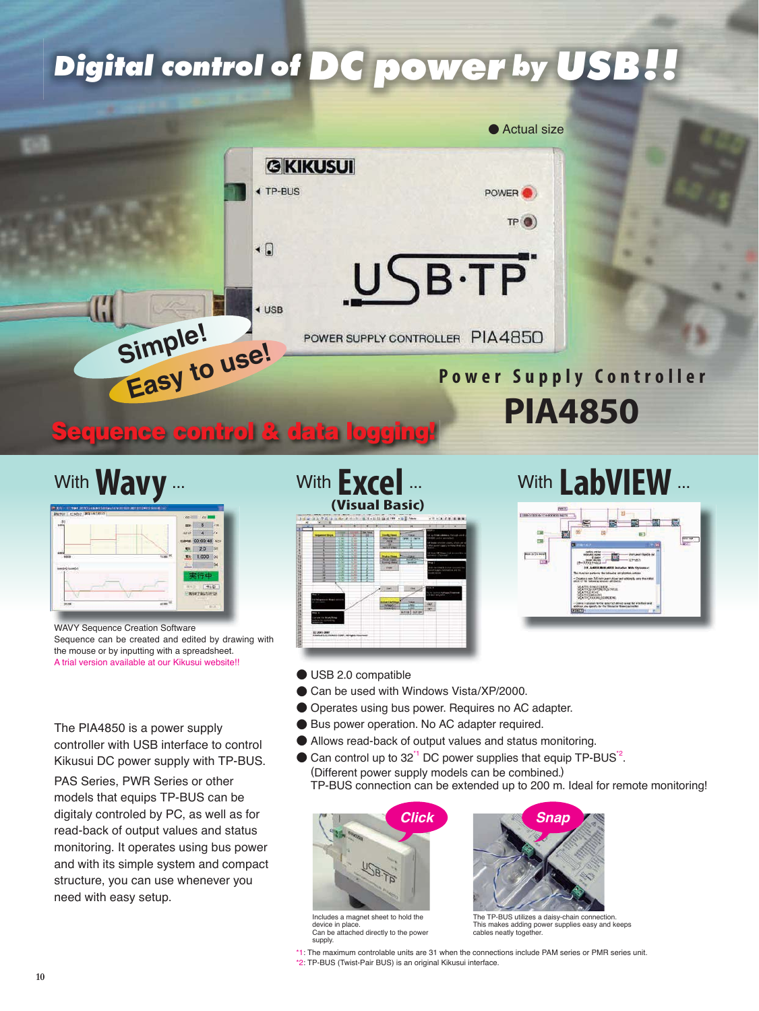# **Digital control of DC power by USB!!**



# With LabVIEW ...

 $F<sup>2</sup>$ 

 $\frac{1}{2}$ 

# With **Wavy** ...

|        | $100 - 10$<br>$\sim$ |                                                                     |
|--------|----------------------|---------------------------------------------------------------------|
|        | Б                    |                                                                     |
|        | æ                    | n                                                                   |
|        | 00:00:48 cc          |                                                                     |
|        | 20                   | Etien                                                               |
| 1100   | 1.000                | Toki                                                                |
|        |                      | bа                                                                  |
|        | œ                    |                                                                     |
|        |                      |                                                                     |
|        |                      | 中山区                                                                 |
|        |                      |                                                                     |
| 42.330 |                      | $\overline{m}$                                                      |
|        | 43                   | <b>ISM</b><br>3842<br><b>WARE</b><br>٣×<br>×<br>再行能力恢告为(3)<br>milit |

WAVY Sequence Creation Software Sequence can be created and edited by drawing with the mouse or by inputting with a spreadsheet. A trial version available at our Kikusui website!!

The PIA4850 is a power supply controller with USB interface to control Kikusui DC power supply with TP-BUS.

PAS Series, PWR Series or other models that equips TP-BUS can be digitaly controled by PC, as well as for read-back of output values and status monitoring. It operates using bus power and with its simple system and compact structure, you can use whenever you need with easy setup.



## ● USB 2.0 compatible

- Can be used with Windows Vista/XP/2000.
- Operates using bus power. Requires no AC adapter.
- Bus power operation. No AC adapter required.
- Allows read-back of output values and status monitoring.
- Can control up to  $32<sup>1</sup>$  DC power supplies that equip TP-BUS<sup> $2$ </sup>. (Different power supply models can be combined.) TP-BUS connection can be extended up to 200 m. Ideal for remote monitoring!



Includes a magnet sheet to hold the device in place. Can be attached directly to the power supply.



 $F = 0.54$ 

The TP-BUS utilizes a daisy-chain connection. This makes adding power supplies easy and keeps cables neatly together

\*1: The maximum controlable units are 31 when the connections include PAM series or PMR series unit. \*2: TP-BUS (Twist-Pair BUS) is an original Kikusui interface.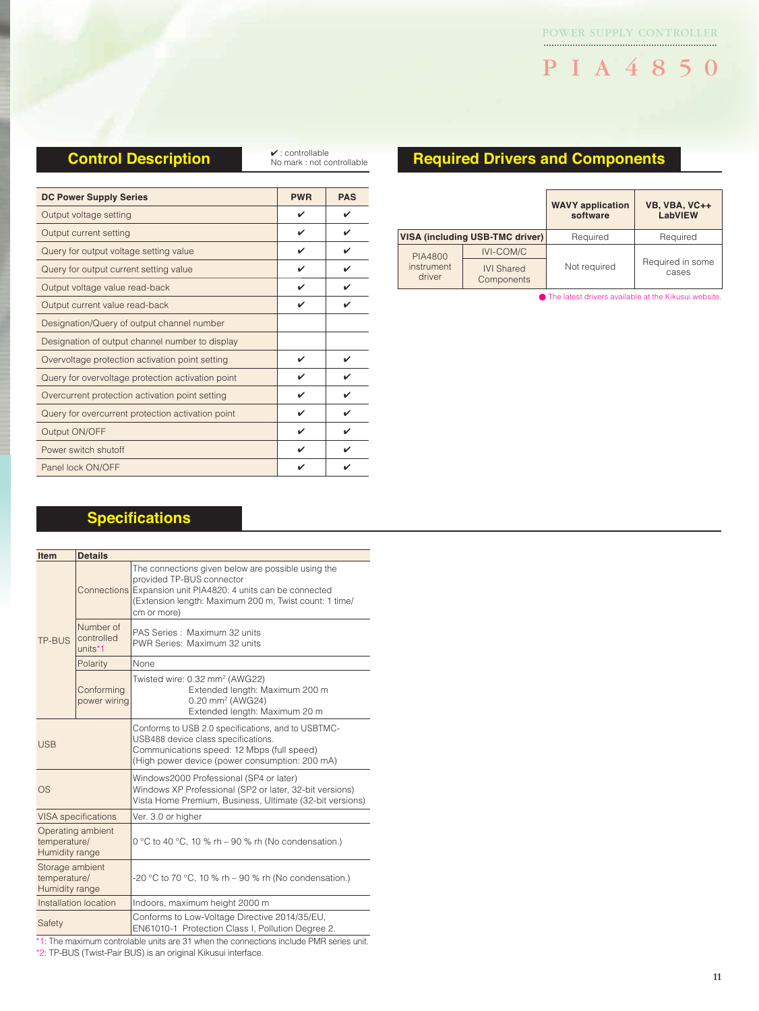## PIA4850

#### **Control Description**

✔ : controllable No mark : not controllable

| <b>DC Power Supply Series</b>                     | <b>PWR</b> | <b>PAS</b> |
|---------------------------------------------------|------------|------------|
| Output voltage setting                            | ✓          | ✓          |
| Output current setting                            | ✓          | ✓          |
| Query for output voltage setting value            | ✓          | ✓          |
| Query for output current setting value            | ✓          |            |
| Output voltage value read-back                    | ✓          | ✓          |
| Output current value read-back                    | ✓          |            |
| Designation/Query of output channel number        |            |            |
| Designation of output channel number to display   |            |            |
| Overvoltage protection activation point setting   | ✓          | ✔          |
| Query for overvoltage protection activation point | ✓          | ✓          |
| Overcurrent protection activation point setting   | ✓          | ✓          |
| Query for overcurrent protection activation point | ✓          | ✓          |
| Output ON/OFF                                     | V          | ✓          |
| Power switch shutoff                              | ✓          |            |
| Panel lock ON/OFF                                 |            |            |

#### **Required Drivers and Components**

|                      |                                 | <b>WAVY</b> application<br>software | VB, VBA, VC++<br>LabVIEW  |
|----------------------|---------------------------------|-------------------------------------|---------------------------|
|                      | VISA (including USB-TMC driver) | Required                            | Required                  |
| <b>PIA4800</b>       | <b>IVI-COM/C</b>                |                                     |                           |
| instrument<br>driver | <b>IVI Shared</b><br>Components | Not required                        | Required in some<br>cases |

● The latest drivers available at the Kikusui website.

#### **Specifications**

| Item                                                | <b>Details</b>                     |                                                                                                                                                                                                                          |  |
|-----------------------------------------------------|------------------------------------|--------------------------------------------------------------------------------------------------------------------------------------------------------------------------------------------------------------------------|--|
| TP-BUS                                              |                                    | The connections given below are possible using the<br>provided TP-BUS connector<br>Connections Expansion unit PIA4820: 4 units can be connected<br>(Extension length: Maximum 200 m, Twist count: 1 time/<br>cm or more) |  |
|                                                     | Number of<br>controlled<br>units*1 | PAS Series: Maximum 32 units<br>PWR Series: Maximum 32 units                                                                                                                                                             |  |
|                                                     | Polarity                           | None                                                                                                                                                                                                                     |  |
|                                                     | Conforming<br>power wiring         | Twisted wire: 0.32 mm <sup>2</sup> (AWG22)<br>Extended length: Maximum 200 m<br>0.20 mm <sup>2</sup> (AWG24)<br>Extended length: Maximum 20 m                                                                            |  |
| <b>USB</b>                                          |                                    | Conforms to USB 2.0 specifications, and to USBTMC-<br>USB488 device class specifications.<br>Communications speed: 12 Mbps (full speed)<br>(High power device (power consumption: 200 mA)                                |  |
| <b>OS</b>                                           |                                    | Windows2000 Professional (SP4 or later)<br>Windows XP Professional (SP2 or later, 32-bit versions)<br>Vista Home Premium, Business, Ultimate (32-bit versions)                                                           |  |
|                                                     | <b>VISA</b> specifications         | Ver. 3.0 or higher                                                                                                                                                                                                       |  |
| Operating ambient<br>temperature/<br>Humidity range |                                    | 0 °C to 40 °C, 10 % rh – 90 % rh (No condensation.)                                                                                                                                                                      |  |
| Storage ambient<br>temperature/<br>Humidity range   |                                    | -20 °C to 70 °C, 10 % rh – 90 % rh (No condensation.)                                                                                                                                                                    |  |
|                                                     | Installation location              | Indoors, maximum height 2000 m                                                                                                                                                                                           |  |
| Safety                                              |                                    | Conforms to Low-Voltage Directive 2014/35/EU,<br>EN61010-1 Protection Class I, Pollution Degree 2.                                                                                                                       |  |

\*1: The maximum controlable units are 31 when the connections include PMR series unit.

\*2: TP-BUS (Twist-Pair BUS) is an original Kikusui interface.